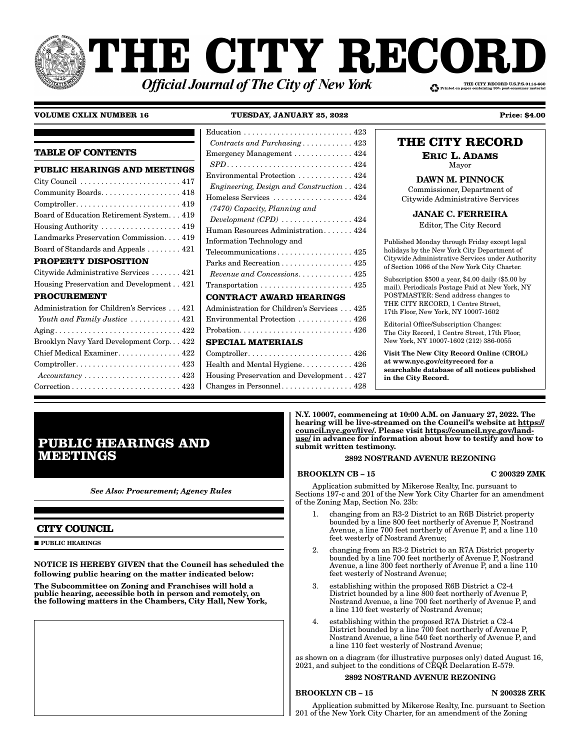# THE CITY RECOR. THE CITY RECORD U.S.P.S.0114-660 **Official Journal of The City of New York**

### **VOLUME CXLIX NUMBER 16**

**TUESDAY, JANUARY 25, 2022** 

 $Contracts and Purchasing \ldots \ldots \ldots 423$ **TABLE OF CONTENTS** Emergency Management . . . . . . . . . . . . . 424 PUBLIC HEARINGS AND MEETINGS Environmental Protection ............ 424 Engineering, Design and Construction . . 424 Community Boards.................. 418 Homeless Services ................... 424 (7470) Capacity, Planning and Board of Education Retirement System. . . 419  $Development (CPD)$  ................ 424 Housing Authority  $\dots \dots \dots \dots \dots \dots 419$ Human Resources Administration...... 424 Landmarks Preservation Commission.... 419 Information Technology and Board of Standards and Appeals . . . . . . . . 421 PROPERTY DISPOSITION Parks and Recreation . . . . . . . . . . . . . . . 425 Citywide Administrative Services ....... 421 Revenue and Concessions. . . . . . . . . . . . 425 Housing Preservation and Development.. 421 **PROCUREMENT CONTRACT AWARD HEARINGS** Administration for Children's Services . . . 421 Administration for Children's Services . . . 425 Youth and Family Justice ........... 421 Environmental Protection . . . . . . . . . . . . 426 Brooklyn Navy Yard Development Corp... 422 **SPECIAL MATERIALS** Chief Medical Examiner. . . . . . . . . . . . . . 422 Comptroller......................... 426 Comptroller............................ 423 Health and Mental Hygiene........... 426  $Accountancy \ldots \ldots \ldots \ldots \ldots \ldots \ldots 423$ Housing Preservation and Development.. 427 Changes in Personnel................. 428

**Price: \$4.00** 

### THE CITY RECORD **ERIC L. ADAMS**

Mayor

**DAWN M. PINNOCK** Commissioner, Department of Citywide Administrative Services

**JANAE C. FERREIRA** 

Editor, The City Record

Published Monday through Friday except legal holidays by the New York City Department of Citywide Administrative Services under Authority of Section 1066 of the New York City Charter.

Subscription \$500 a year, \$4.00 daily (\$5.00 by mail). Periodicals Postage Paid at New York, NY POSTMASTER: Send address changes to THE CITY RECORD, 1 Centre Street, 17th Floor, New York, NY 10007-1602

Editorial Office/Subscription Changes: The City Record, 1 Centre Street, 17th Floor, New York, NY 10007-1602 (212) 386-0055

Visit The New City Record Online (CROL) at www.nyc.gov/cityrecord for a searchable database of all notices published in the City Record.

**PUBLIC HEARINGS AND MEETINGS** 

**See Also: Procurement; Agency Rules** 

### **CITY COUNCIL**

 $\blacksquare$ PUBLIC HEARINGS

NOTICE IS HEREBY GIVEN that the Council has scheduled the following public hearing on the matter indicated below:

The Subcommittee on Zoning and Franchises will hold a<br>public hearing, accessible both in person and remotely, on the following matters in the Chambers, City Hall, New York, N.Y. 10007, commencing at 10:00 A.M. on January 27, 2022. The hearing will be live-streamed on the Council's website at https:// council.nyc.gov/live/. Please visit https://council.nyc.gov/landuse/ in advance for information about how to testify and how to submit written testimony.

### 2892 NOSTRAND AVENUE REZONING

### **BROOKLYN CB-15**

C 200329 ZMK

Application submitted by Mikerose Realty, Inc. pursuant to Sections 197-c and 201 of the New York City Charter for an amendment of the Zoning Map, Section No. 23b:

- changing from an R3-2 District to an R6B District property bounded by a line 800 feet northerly of Avenue P, Nostrand Avenue, a line 700 feet northerly of Avenue P, and a line 110 feet westerly of Nostrand Avenue;
- changing from an R3-2 District to an R7A District property  $2^{1}$ bounded by a line 700 feet northerly of Avenue P, Nostrand Avenue, a line 300 feet northerly of Avenue P, and a line 110 feet westerly of Nostrand Avenue;
- establishing within the proposed R6B District a C2-4 3. District bounded by a line 800 feet northerly of Avenue P, Nostrand Avenue, a line 700 feet northerly of Avenue P, and a line 110 feet westerly of Nostrand Avenue;
- establishing within the proposed R7A District a C2-4<br>District bounded by a line 700 feet northerly of Avenue P,  $4.$ Nostrand Avenue, a line 540 feet northerly of Avenue P, and a line 110 feet westerly of Nostrand Avenue;

as shown on a diagram (for illustrative purposes only) dated August 16, 2021, and subject to the conditions of CEQR Declaration E-579.

### 2892 NOSTRAND AVENUE REZONING

### **BROOKLYN CB-15**

#### **N 200328 ZRK**

Application submitted by Mikerose Realty, Inc. pursuant to Section 201 of the New York City Charter, for an amendment of the Zoning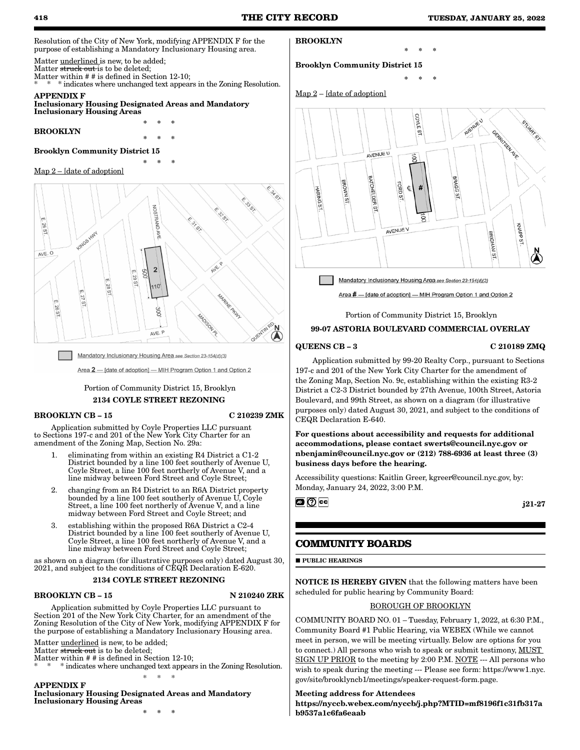Resolution of the City of New York, modifying APPENDIX F for the purpose of establishing a Mandatory Inclusionary Housing area.

Matter underlined is new, to be added; Matter struck out is to be deleted;

Matter within # # is defined in Section 12-10;

\* indicates where unchanged text appears in the Zoning Resolution. APPENDIX F

\* \* \*

\* \* \*

\* \* \*

Inclusionary Housing Designated Areas and Mandatory Inclusionary Housing Areas

BROOKLYN

### Brooklyn Community District 15

#### Map 2 – [date of adoption]



Mandatory Inclusionary Housing Area see Section 23-154(d)(3)

Area 2 - [date of adoption] - MIH Program Option 1 and Option 2

### Portion of Community District 15, Brooklyn 2134 COYLE STREET REZONING

### BROOKLYN CB – 15 C 210239 ZMK

Application submitted by Coyle Properties LLC pursuant to Sections 197-c and 201 of the New York City Charter for an amendment of the Zoning Map, Section No. 29a:

- 1. eliminating from within an existing R4 District a C1-2 District bounded by a line 100 feet southerly of Avenue U, Coyle Street, a line 100 feet northerly of Avenue V, and a line midway between Ford Street and Coyle Street;
- 2. changing from an R4 District to an R6A District property bounded by a line  $100$  feet southerly of Avenue U, Coyle Street, a line 100 feet northerly of Avenue V, and a line midway between Ford Street and Coyle Street; and
- 3. establishing within the proposed R6A District a C2-4 District bounded by a line 100 feet southerly of Avenue U, Coyle Street, a line 100 feet northerly of Avenue V, and a line midway between Ford Street and Coyle Street;

as shown on a diagram (for illustrative purposes only) dated August 30, 2021, and subject to the conditions of CEQR Declaration E-620.

#### 2134 COYLE STREET REZONING

#### BROOKLYN CB – 15 N 210240 ZRK

Application submitted by Coyle Properties LLC pursuant to Section 201 of the New York City Charter, for an amendment of the Zoning Resolution of the City of New York, modifying APPENDIX F for the purpose of establishing a Mandatory Inclusionary Housing area.

Matter underlined is new, to be added;

Matter struck out is to be deleted;

- Matter within # # is defined in Section 12-10;
- \* \* \* indicates where unchanged text appears in the Zoning Resolution. \* \* \*

APPENDIX F

### Inclusionary Housing Designated Areas and Mandatory Inclusionary Housing Areas

\* \* \*

### BROOKLYN

Brooklyn Community District 15

 $Map 2 - [date of adoption]$ 



\* \* \*

\* \* \*

Mandatory Inclusionary Housing Area see Section 23-154(d)(3)

Area # - [date of adoption] - MIH Program Option 1 and Option 2

Portion of Community District 15, Brooklyn

### 99-07 ASTORIA BOULEVARD COMMERCIAL OVERLAY

#### QUEENS CB – 3 C 210189 ZMQ

Application submitted by 99-20 Realty Corp., pursuant to Sections 197-c and 201 of the New York City Charter for the amendment of the Zoning Map, Section No. 9c, establishing within the existing R3-2 District a C2-3 District bounded by 27th Avenue, 100th Street, Astoria Boulevard, and 99th Street, as shown on a diagram (for illustrative purposes only) dated August 30, 2021, and subject to the conditions of CEQR Declaration E-640.

For questions about accessibility and requests for additional accommodations, please contact swerts@council.nyc.gov or nbenjamin@council.nyc.gov or (212) 788-6936 at least three (3) business days before the hearing.

Accessibility questions: Kaitlin Greer, kgreer@council.nyc.gov, by: Monday, January 24, 2022, 3:00 P.M.

⊠|⊙∥∝

j21-27

### **COMMUNITY BOARDS**

**PUBLIC HEARINGS** 

NOTICE IS HEREBY GIVEN that the following matters have been scheduled for public hearing by Community Board:

### BOROUGH OF BROOKLYN

COMMUNITY BOARD NO. 01 – Tuesday, February 1, 2022, at 6:30 P.M., Community Board #1 Public Hearing, via WEBEX (While we cannot meet in person, we will be meeting virtually. Below are options for you to connect.) All persons who wish to speak or submit testimony, MUST SIGN UP PRIOR to the meeting by 2:00 P.M. NOTE --- All persons who wish to speak during the meeting --- Please see form: https://www1.nyc. gov/site/brooklyncb1/meetings/speaker-request-form.page.

### Meeting address for Attendees

https://nyccb.webex.com/nyccb/j.php?MTID=mf8196f1c31fb317a b9537a1c6fa6eaab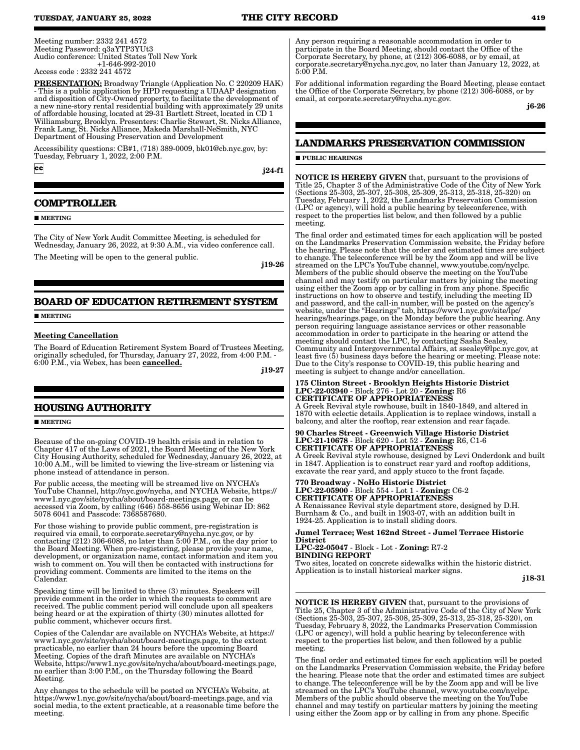Meeting number: 2332 241 4572 Meeting Password: q3aYTP3YUt3 Audio conference: United States Toll New York +1-646-992-2010

#### Access code : 2332 241 4572

PRESENTATION: Broadway Triangle (Application No. C 220209 HAK) - This is a public application by HPD requesting a UDAAP designation and disposition of City-Owned property, to facilitate the development of a new nine-story rental residential building with approximately 29 units of affordable housing, located at 29-31 Bartlett Street, located in CD 1 Williamsburg, Brooklyn. Presenters: Charlie Stewart, St. Nicks Alliance, Frank Lang, St. Nicks Alliance, Makeda Marshall-NeSmith, NYC Department of Housing Preservation and Development

Accessibility questions: CB#1, (718) 389-0009, bk01@cb.nyc.gov, by: Tuesday, February 1, 2022, 2:00 P.M.

 $|cc|$ 

j24-f1

### **COMPTROLLER**

**MEETING** 

The City of New York Audit Committee Meeting, is scheduled for Wednesday, January 26, 2022, at 9:30 A.M., via video conference call. The Meeting will be open to the general public.

j19-26

# **BOARD OF EDUCATION RETIREMENT SYSTEM**

**MEETING** 

#### Meeting Cancellation

The Board of Education Retirement System Board of Trustees Meeting, originally scheduled, for Thursday, January 27, 2022, from 4:00 P.M. - 6:00 P.M., via Webex, has been **cancelled.** 

j19-27

### **HOUSING AUTHORITY**

**MEETING** 

Because of the on-going COVID-19 health crisis and in relation to Chapter 417 of the Laws of 2021, the Board Meeting of the New York City Housing Authority, scheduled for Wednesday, January 26, 2022, at 10:00 A.M., will be limited to viewing the live-stream or listening via phone instead of attendance in person.

For public access, the meeting will be streamed live on NYCHA's YouTube Channel, http://nyc.gov/nycha, and NYCHA Website, https:// www1.nyc.gov/site/nycha/about/board-meetings.page, or can be accessed via Zoom, by calling (646) 558-8656 using Webinar ID: 862 5078 6041 and Passcode: 7368587680.

For those wishing to provide public comment, pre-registration is required via email, to corporate.secretary@nycha.nyc.gov, or by contacting (212) 306-6088, no later than 5:00 P.M., on the day prior to the Board Meeting. When pre-registering, please provide your name, development, or organization name, contact information and item you wish to comment on. You will then be contacted with instructions for providing comment. Comments are limited to the items on the Calendar.

Speaking time will be limited to three (3) minutes. Speakers will provide comment in the order in which the requests to comment are received. The public comment period will conclude upon all speakers being heard or at the expiration of thirty (30) minutes allotted for public comment, whichever occurs first.

Copies of the Calendar are available on NYCHA's Website, at https:// www1.nyc.gov/site/nycha/about/board-meetings.page, to the extent practicable, no earlier than 24 hours before the upcoming Board Meeting. Copies of the draft Minutes are available on NYCHA's Website, https://www1.nyc.gov/site/nycha/about/board-meetings.page, no earlier than 3:00 P.M., on the Thursday following the Board Meeting.

Any changes to the schedule will be posted on NYCHA's Website, at https://www1.nyc.gov/site/nycha/about/board-meetings.page, and via social media, to the extent practicable, at a reasonable time before the meeting.

Any person requiring a reasonable accommodation in order to participate in the Board Meeting, should contact the Office of the Corporate Secretary, by phone, at (212) 306-6088, or by email, at corporate.secretary@nycha.nyc.gov, no later than January 12, 2022, at 5:00 P.M.

For additional information regarding the Board Meeting, please contact the Office of the Corporate Secretary, by phone (212) 306-6088, or by email, at corporate.secretary@nycha.nyc.gov.

j6-26

### **LANDMARKS PRESERVATION COMMISSION**

#### **PUBLIC HEARINGS**

NOTICE IS HEREBY GIVEN that, pursuant to the provisions of Title 25, Chapter 3 of the Administrative Code of the City of New York (Sections 25-303, 25-307, 25-308, 25-309, 25-313, 25-318, 25-320) on Tuesday, February 1, 2022, the Landmarks Preservation Commission (LPC or agency), will hold a public hearing by teleconference, with respect to the properties list below, and then followed by a public meeting.

The final order and estimated times for each application will be posted on the Landmarks Preservation Commission website, the Friday before the hearing. Please note that the order and estimated times are subject to change. The teleconference will be by the Zoom app and will be live streamed on the LPC's YouTube channel, www.youtube.com/nyclpc. Members of the public should observe the meeting on the YouTube channel and may testify on particular matters by joining the meeting using either the Zoom app or by calling in from any phone. Specific instructions on how to observe and testify, including the meeting ID and password, and the call-in number, will be posted on the agency's website, under the "Hearings" tab, https://www1.nyc.gov/site/lpc/ hearings/hearings.page, on the Monday before the public hearing. Any person requiring language assistance services or other reasonable accommodation in order to participate in the hearing or attend the meeting should contact the LPC, by contacting Sasha Sealey, Community and Intergovernmental Affairs, at ssealey@lpc.nyc.gov, at least five (5) business days before the hearing or meeting. Please note: Due to the City's response to COVID-19, this public hearing and meeting is subject to change and/or cancellation.

### 175 Clinton Street - Brooklyn Heights Historic District LPC-22-03940 - Block 276 - Lot 20 - Zoning: R6 CERTIFICATE OF APPROPRIATENESS A Greek Revival style rowhouse, built in 1840-1849, and altered in

1870 with eclectic details. Application is to replace windows, install a balcony, and alter the rooftop, rear extension and rear façade.

90 Charles Street - Greenwich Village Historic District LPC-21-10678 - Block 620 - Lot 52 - Zoning: R6, C1-6 CERTIFICATE OF APPROPRIATENESS

A Greek Revival style rowhouse, designed by Levi Onderdonk and built in 1847. Application is to construct rear yard and rooftop additions, excavate the rear yard, and apply stucco to the front façade.

770 Broadway - NoHo Historic District LPC-22-05900 - Block 554 - Lot 1 - Zoning: C6-2 CERTIFICATE OF APPROPRIATENESS A Renaissance Revival style department store, designed by D.H. Burnham & Co., and built in 1903-07, with an addition built in 1924-25. Application is to install sliding doors.

Jumel Terrace; West 162nd Street - Jumel Terrace Historic **District** 

LPC-22-05047 - Block - Lot - Zoning: R7-2 BINDING REPORT Two sites, located on concrete sidewalks within the historic district.

Application is to install historical marker signs.

j18-31

NOTICE IS HEREBY GIVEN that, pursuant to the provisions of Title 25, Chapter 3 of the Administrative Code of the City of New York (Sections 25-303, 25-307, 25-308, 25-309, 25-313, 25-318, 25-320), on Tuesday, February 8, 2022, the Landmarks Preservation Commission (LPC or agency), will hold a public hearing by teleconference with respect to the properties list below, and then followed by a public meeting.

The final order and estimated times for each application will be posted on the Landmarks Preservation Commission website, the Friday before the hearing. Please note that the order and estimated times are subject to change. The teleconference will be by the Zoom app and will be live streamed on the LPC's YouTube channel, www.youtube.com/nyclpc. Members of the public should observe the meeting on the YouTube channel and may testify on particular matters by joining the meeting using either the Zoom app or by calling in from any phone. Specific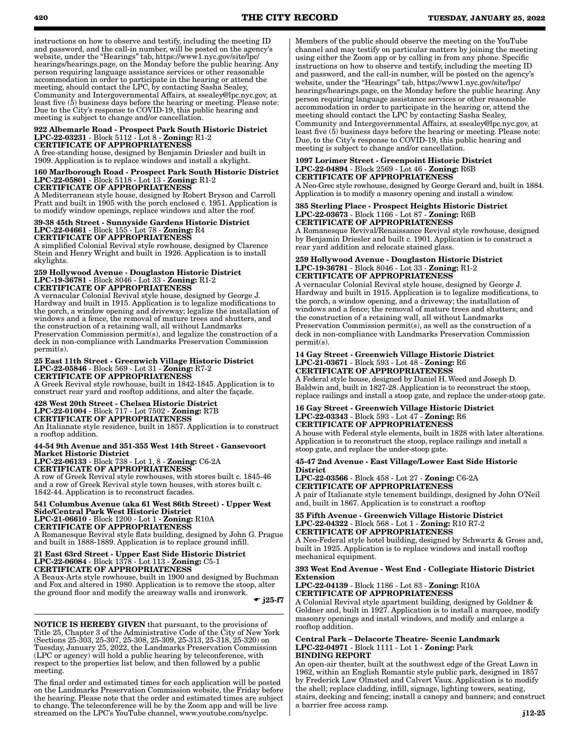instructions on how to observe and testify, including the meeting ID and password, and the call-in number, will be posted on the agency's website, under the "Hearings" tab, https://www1.nyc.gov/site/lpc/ hearings/hearings.page, on the Monday before the public hearing. Any person requiring language assistance services or other reasonable accommodation in order to participate in the hearing or attend the meeting, should contact the LPC, by contacting Sasha Sealey, Community and Intergovernmental Affairs, at ssealey@lpc.nyc.gov, at least five (5) business days before the hearing or meeting. Please note: Due to the City's response to COVID-19, this public hearing and meeting is subject to change and/or cancellation.

#### 922 Albemarle Road - Prospect Park South Historic District LPC-22-03231 - Block 5112 - Lot 8 - Zoning: R1-2 CERTIFICATE OF APPROPRIATENESS

A free-standing house, designed by Benjamin Driesler and built in 1909. Application is to replace windows and install a skylight.

#### 160 Marlborough Road - Prospect Park South Historic District LPC-22-05801 - Block 5118 - Lot 13 - Zoning: R1-2 CERTIFICATE OF APPROPRIATENESS

A Mediterranean style house, designed by Robert Bryson and Carroll Pratt and built in 1905 with the porch enclosed c. 1951. Application is to modify window openings, replace windows and alter the roof.

#### 39-38 45th Street - Sunnyside Gardens Historic District LPC-22-04661 - Block 155 - Lot 78 - Zoning: R4 CERTIFICATE OF APPROPRIATENESS

A simplified Colonial Revival style rowhouse, designed by Clarence Stein and Henry Wright and built in 1926. Application is to install skylights.

#### 259 Hollywood Avenue - Douglaston Historic District LPC-19-36781 - Block 8046 - Lot 33 - Zoning: R1-2 CERTIFICATE OF APPROPRIATENESS

A vernacular Colonial Revival style house, designed by George J. Hardway and built in 1915. Application is to legalize modifications to the porch, a window opening and driveway; legalize the installation of windows and a fence, the removal of mature trees and shutters, and the construction of a retaining wall, all without Landmarks Preservation Commission permit(s), and legalize the construction of a deck in non-compliance with Landmarks Preservation Commission permit(s).

#### 25 East 11th Street - Greenwich Village Historic District LPC-22-05846 - Block 569 - Lot 31 - Zoning: R7-2 CERTIFICATE OF APPROPRIATENESS

A Greek Revival style rowhouse, built in 1842-1845. Application is to construct rear yard and rooftop additions, and alter the façade.

### 428 West 20th Street - Chelsea Historic District LPC-22-01004 - Block 717 - Lot 7502 - Zoning: R7B CERTIFICATE OF APPROPRIATENESS

An Italianate style residence, built in 1857. Application is to construct a rooftop addition.

### 44-54 9th Avenue and 351-355 West 14th Street - Gansevoort Market Historic District

LPC-22-06133 - Block 738 - Lot 1, 8 - Zoning: C6-2A CERTIFICATE OF APPROPRIATENESS

A row of Greek Revival style rowhouses, with stores built c. 1845-46 and a row of Greek Revival style town houses, with stores built c. 1842-44. Application is to reconstruct facades.

#### 541 Columbus Avenue (aka 61 West 86th Street) - Upper West Side/Central Park West Historic District LPC-21-06610 - Block 1200 - Lot 1 - Zoning: R10A CERTIFICATE OF APPROPRIATENESS

A Romanesque Revival style flats building, designed by John G. Prague and built in 1888-1889. Application is to replace ground infill.

#### 21 East 63rd Street - Upper East Side Historic District LPC-22-06084 - Block 1378 - Lot 113 - Zoning: C5-1 CERTIFICATE OF APPROPRIATENESS

A Beaux-Arts style rowhouse, built in 1900 and designed by Buchman and Fox and altered in 1980. Application is to remove the stoop, alter the ground floor and modify the areaway walls and ironwork.

 $\bullet$  j25-f7

NOTICE IS HEREBY GIVEN that pursuant, to the provisions of Title 25, Chapter 3 of the Administrative Code of the City of New York (Sections 25-303, 25-307, 25-308, 25-309, 25-313, 25-318, 25-320) on Tuesday, January 25, 2022, the Landmarks Preservation Commission (LPC or agency) will hold a public hearing by teleconference, with respect to the properties list below, and then followed by a public meeting.

The final order and estimated times for each application will be posted on the Landmarks Preservation Commission website, the Friday before the hearing. Please note that the order and estimated times are subject to change. The teleconference will be by the Zoom app and will be live streamed on the LPC's YouTube channel, www.youtube.com/nyclpc.

Members of the public should observe the meeting on the YouTube channel and may testify on particular matters by joining the meeting using either the Zoom app or by calling in from any phone. Specific instructions on how to observe and testify, including the meeting ID and password, and the call-in number, will be posted on the agency's website, under the "Hearings" tab, https://www1.nyc.gov/site/lpc/ hearings/hearings.page, on the Monday before the public hearing. Any person requiring language assistance services or other reasonable accommodation in order to participate in the hearing or, attend the meeting should contact the LPC by contacting Sasha Sealey, Community and Intergovernmental Affairs, at ssealey@lpc.nyc.gov, at least five (5) business days before the hearing or meeting. Please note: Due, to the City's response to COVID-19, this public hearing and meeting is subject to change and/or cancellation.

### 1097 Lorimer Street - Greenpoint Historic District LPC-22-04894 - Block 2569 - Lot 46 - Zoning: R6B CERTIFICATE OF APPROPRIATENESS

A Neo-Grec style rowhouse, designed by George Gerard and, built in 1884. Application is to modify a masonry opening and install a window.

#### 385 Sterling Place - Prospect Heights Historic District LPC-22-03673 - Block 1166 - Lot 87 - Zoning: R6B CERTIFICATE OF APPROPRIATENESS

A Romanesque Revival/Renaissance Revival style rowhouse, designed by Benjamin Driesler and built c. 1901. Application is to construct a rear yard addition and relocate stained glass.

#### 259 Hollywood Avenue - Douglaston Historic District LPC-19-36781 - Block 8046 - Lot 33 - Zoning: R1-2 CERTIFICATE OF APPROPRIATENESS

A vernacular Colonial Revival style house, designed by George J. Hardway and built in 1915. Application is to legalize modifications, to the porch, a window opening, and a driveway; the installation of windows and a fence; the removal of mature trees and shutters; and the construction of a retaining wall, all without Landmarks Preservation Commission permit(s), as well as the construction of a deck in non-compliance with Landmarks Preservation Commission permit(s).

#### 14 Gay Street - Greenwich Village Historic District LPC-21-03671 - Block 593 - Lot 48 - Zoning: R6 CERTIFICATE OF APPROPRIATENESS

A Federal style house, designed by Daniel H. Weed and Joseph D. Baldwin and, built in 1827-28. Application is to reconstruct the stoop, replace railings and install a stoop gate, and replace the under-stoop gate.

#### 16 Gay Street - Greenwich Village Historic District LPC-22-03343 - Block 593 - Lot 47 - Zoning: R6 CERTIFICATE OF APPROPRIATENESS

A house with Federal style elements, built in 1828 with later alterations. Application is to reconstruct the stoop, replace railings and install a stoop gate, and replace the under-stoop gate.

#### 45-47 2nd Avenue - East Village/Lower East Side Historic **District**

LPC-22-03566 - Block 458 - Lot 27 - Zoning: C6-2A CERTIFICATE OF APPROPRIATENESS A pair of Italianate style tenement buildings, designed by John O'Neil and, built in 1867. Application is to construct a rooftop

### 35 Fifth Avenue - Greenwich Village Historic District LPC-22-04322 - Block 568 - Lot 1 - Zoning: R10 R7-2 CERTIFICATE OF APPROPRIATENESS

A Neo-Federal style hotel building, designed by Schwartz & Gross and, built in 1925. Application is to replace windows and install rooftop mechanical equipment.

#### 393 West End Avenue - West End - Collegiate Historic District Extension

LPC-22-04139 - Block 1186 - Lot 83 - Zoning: R10A CERTIFICATE OF APPROPRIATENESS

A Colonial Revival style apartment building, designed by Goldner & Goldner and, built in 1927. Application is to install a marquee, modify masonry openings and install windows, and modify and enlarge a rooftop addition.

#### Central Park – Delacorte Theatre- Scenic Landmark LPC-22-04971 - Block 1111 - Lot 1 - Zoning: Park BINDING REPORT

An open-air theater, built at the southwest edge of the Great Lawn in 1962, within an English Romantic style public park, designed in 1857 by Frederick Law Olmsted and Calvert Vaux. Application is to modify the shell; replace cladding, infill, signage, lighting towers, seating, stairs, decking and fencing; install a canopy and banners; and construct a barrier free access ramp.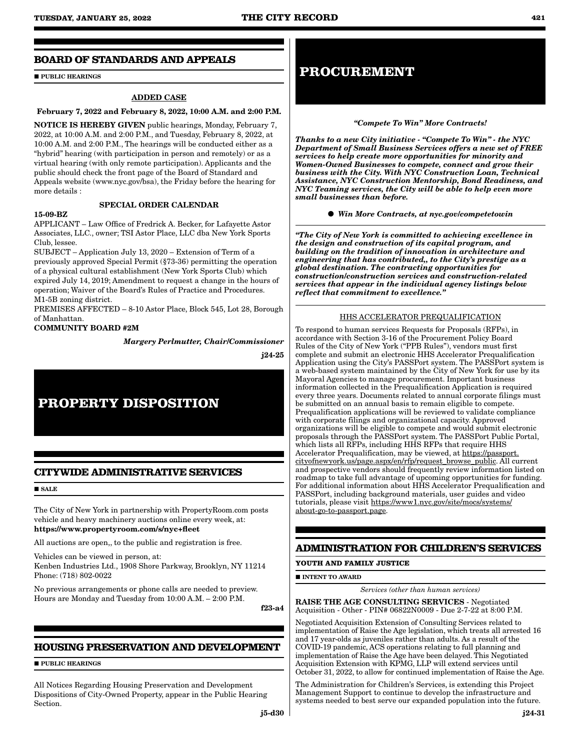### **BOARD OF STANDARDS AND APPEALS**

**PUBLIC HEARINGS** 

#### ADDED CASE

#### February 7, 2022 and February 8, 2022, 10:00 A.M. and 2:00 P.M.

NOTICE IS HEREBY GIVEN public hearings, Monday, February 7, 2022, at 10:00 A.M. and 2:00 P.M., and Tuesday, February 8, 2022, at 10:00 A.M. and 2:00 P.M., The hearings will be conducted either as a "hybrid" hearing (with participation in person and remotely) or as a virtual hearing (with only remote participation). Applicants and the public should check the front page of the Board of Standard and Appeals website (www.nyc.gov/bsa), the Friday before the hearing for more details :

### SPECIAL ORDER CALENDAR

### 15-09-BZ

APPLICANT – Law Office of Fredrick A. Becker, for Lafayette Astor

Associates, LLC., owner; TSI Astor Place, LLC dba New York Sports Club, lessee.

SUBJECT – Application July 13, 2020 – Extension of Term of a previously approved Special Permit (§73-36) permitting the operation of a physical cultural establishment (New York Sports Club) which expired July 14, 2019; Amendment to request a change in the hours of operation; Waiver of the Board's Rules of Practice and Procedures. M1-5B zoning district.

PREMISES AFFECTED – 8-10 Astor Place, Block 545, Lot 28, Borough of Manhattan.

#### COMMUNITY BOARD #2M

*Margery Perlmutter, Chair/Commissioner*

j24-25

## **PROPERTY DISPOSITION**

### **CITYWIDE ADMINISTRATIVE SERVICES**

 $SATE$ 

The City of New York in partnership with PropertyRoom.com posts vehicle and heavy machinery auctions online every week, at: https://www.propertyroom.com/s/nyc+fleet

All auctions are open,, to the public and registration is free.

Vehicles can be viewed in person, at:

Kenben Industries Ltd., 1908 Shore Parkway, Brooklyn, NY 11214 Phone: (718) 802-0022

No previous arrangements or phone calls are needed to preview. Hours are Monday and Tuesday from 10:00 A.M. – 2:00 P.M.

f23-a4

### **HOUSING PRESERVATION AND DEVELOPMENT**

**PUBLIC HEARINGS** 

All Notices Regarding Housing Preservation and Development Dispositions of City-Owned Property, appear in the Public Hearing Section.

### **PROCUREMENT**

#### *"Compete To Win" More Contracts!*

*Thanks to a new City initiative - "Compete To Win" - the NYC Department of Small Business Services offers a new set of FREE services to help create more opportunities for minority and Women-Owned Businesses to compete, connect and grow their business with the City. With NYC Construction Loan, Technical Assistance, NYC Construction Mentorship, Bond Readiness, and NYC Teaming services, the City will be able to help even more small businesses than before.*

*Win More Contracts, at nyc.gov/competetowin*

*"The City of New York is committed to achieving excellence in the design and construction of its capital program, and building on the tradition of innovation in architecture and engineering that has contributed,, to the City's prestige as a global destination. The contracting opportunities for construction/construction services and construction-related services that appear in the individual agency listings below reflect that commitment to excellence."*

### HHS ACCELERATOR PREQUALIFICATION

To respond to human services Requests for Proposals (RFPs), in accordance with Section 3-16 of the Procurement Policy Board Rules of the City of New York ("PPB Rules"), vendors must first complete and submit an electronic HHS Accelerator Prequalification Application using the City's PASSPort system. The PASSPort system is a web-based system maintained by the City of New York for use by its Mayoral Agencies to manage procurement. Important business information collected in the Prequalification Application is required every three years. Documents related to annual corporate filings must be submitted on an annual basis to remain eligible to compete. Prequalification applications will be reviewed to validate compliance with corporate filings and organizational capacity. Approved organizations will be eligible to compete and would submit electronic proposals through the PASSPort system. The PASSPort Public Portal, which lists all RFPs, including HHS RFPs that require HHS Accelerator Prequalification, may be viewed, at https://passport. cityofnewyork.us/page.aspx/en/rfp/request\_browse\_public. All current and prospective vendors should frequently review information listed on roadmap to take full advantage of upcoming opportunities for funding. For additional information about HHS Accelerator Prequalification and PASSPort, including background materials, user guides and video tutorials, please visit https://www1.nyc.gov/site/mocs/systems/ about-go-to-passport.page.

### **ADMINISTRATION FOR CHILDREN'S SERVICES**

#### **YOUTH AND FAMILY JUSTICE**

**INTENT TO AWARD** 

*Services (other than human services)*

RAISE THE AGE CONSULTING SERVICES - Negotiated Acquisition - Other - PIN# 06822N0009 - Due 2-7-22 at 8:00 P.M.

Negotiated Acquisition Extension of Consulting Services related to implementation of Raise the Age legislation, which treats all arrested 16 and 17 year-olds as juveniles rather than adults. As a result of the COVID-19 pandemic, ACS operations relating to full planning and implementation of Raise the Age have been delayed. This Negotiated Acquisition Extension with KPMG, LLP will extend services until October 31, 2022, to allow for continued implementation of Raise the Age.

The Administration for Children's Services, is extending this Project Management Support to continue to develop the infrastructure and systems needed to best serve our expanded population into the future.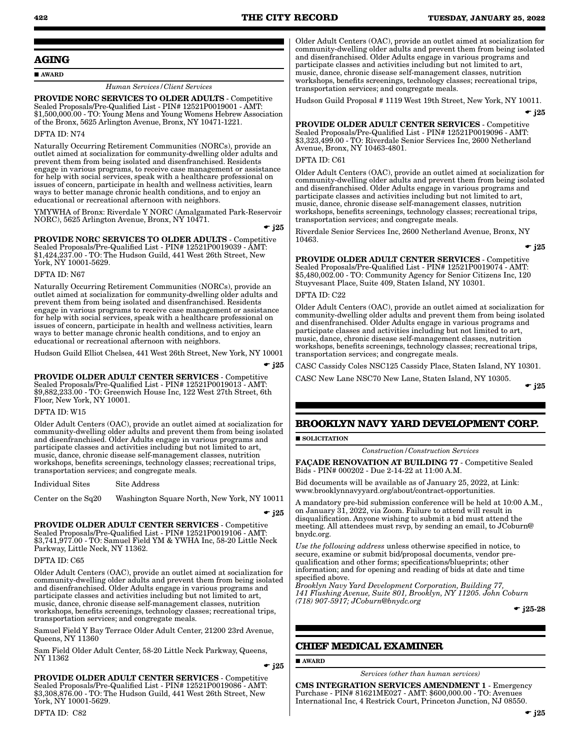### **AGING**

#### AWARD

#### *Human Services/Client Services*

PROVIDE NORC SERVICES TO OLDER ADULTS - Competitive Sealed Proposals/Pre-Qualified List - PIN# 12521P0019001 - AMT: \$1,500,000.00 - TO: Young Mens and Young Womens Hebrew Association of the Bronx, 5625 Arlington Avenue, Bronx, NY 10471-1221.

#### DFTA ID: N74

Naturally Occurring Retirement Communities (NORCs), provide an outlet aimed at socialization for community-dwelling older adults and prevent them from being isolated and disenfranchised. Residents engage in various programs, to receive case management or assistance for help with social services, speak with a healthcare professional on issues of concern, participate in health and wellness activities, learn ways to better manage chronic health conditions, and to enjoy an educational or recreational afternoon with neighbors.

YMYWHA of Bronx: Riverdale Y NORC (Amalgamated Park-Reservoir NORC), 5625 Arlington Avenue, Bronx, NY 10471.

 $\div$  i25

PROVIDE NORC SERVICES TO OLDER ADULTS - Competitive Sealed Proposals/Pre-Qualified List - PIN# 12521P0019039 - AMT: \$1,424,237.00 - TO: The Hudson Guild, 441 West 26th Street, New York, NY 10001-5629.

#### DFTA ID: N67

Naturally Occurring Retirement Communities (NORCs), provide an outlet aimed at socialization for community-dwelling older adults and prevent them from being isolated and disenfranchised. Residents engage in various programs to receive case management or assistance for help with social services, speak with a healthcare professional on issues of concern, participate in health and wellness activities, learn ways to better manage chronic health conditions, and to enjoy an educational or recreational afternoon with neighbors.

Hudson Guild Elliot Chelsea, 441 West 26th Street, New York, NY 10001

 $\bullet$  i25

PROVIDE OLDER ADULT CENTER SERVICES - Competitive Sealed Proposals/Pre-Qualified List - PIN# 12521P0019013 - AMT: \$9,882,233.00 - TO: Greenwich House Inc, 122 West 27th Street, 6th Floor, New York, NY 10001.

#### DFTA ID: W15

Older Adult Centers (OAC), provide an outlet aimed at socialization for community-dwelling older adults and prevent them from being isolated and disenfranchised. Older Adults engage in various programs and participate classes and activities including but not limited to art, music, dance, chronic disease self-management classes, nutrition workshops, benefits screenings, technology classes; recreational trips, transportation services; and congregate meals.

Individual Sites Site Address

Center on the Sq20 Washington Square North, New York, NY 10011

 $\div$  i25

PROVIDE OLDER ADULT CENTER SERVICES - Competitive Sealed Proposals/Pre-Qualified List - PIN# 12521P0019106 - AMT: \$3,741,977.00 - TO: Samuel Field YM & YWHA Inc, 58-20 Little Neck Parkway, Little Neck, NY 11362.

#### DFTA ID: C65

Older Adult Centers (OAC), provide an outlet aimed at socialization for community-dwelling older adults and prevent them from being isolated and disenfranchised. Older Adults engage in various programs and participate classes and activities including but not limited to art, music, dance, chronic disease self-management classes, nutrition workshops, benefits screenings, technology classes; recreational trips, transportation services; and congregate meals.

Samuel Field Y Bay Terrace Older Adult Center, 21200 23rd Avenue, Queens, NY 11360

Sam Field Older Adult Center, 58-20 Little Neck Parkway, Queens, NY 11362

 $-$  j25

PROVIDE OLDER ADULT CENTER SERVICES - Competitive Sealed Proposals/Pre-Qualified List - PIN# 12521P0019086 - AMT: \$3,308,876.00 - TO: The Hudson Guild, 441 West 26th Street, New York, NY 10001-5629.

Older Adult Centers (OAC), provide an outlet aimed at socialization for community-dwelling older adults and prevent them from being isolated and disenfranchised. Older Adults engage in various programs and participate classes and activities including but not limited to art, music, dance, chronic disease self-management classes, nutrition workshops, benefits screenings, technology classes; recreational trips, transportation services; and congregate meals.

Hudson Guild Proposal # 1119 West 19th Street, New York, NY 10011.

 $\bullet$  i25

PROVIDE OLDER ADULT CENTER SERVICES - Competitive Sealed Proposals/Pre-Qualified List - PIN# 12521P0019096 - AMT: \$3,323,499.00 - TO: Riverdale Senior Services Inc, 2600 Netherland Avenue, Bronx, NY 10463-4801.

### DFTA ID: C61

Older Adult Centers (OAC), provide an outlet aimed at socialization for community-dwelling older adults and prevent them from being isolated and disenfranchised. Older Adults engage in various programs and participate classes and activities including but not limited to art, music, dance, chronic disease self-management classes, nutrition workshops, benefits screenings, technology classes; recreational trips, transportation services; and congregate meals.

Riverdale Senior Services Inc, 2600 Netherland Avenue, Bronx, NY 10463.

 $\bullet$  j25

PROVIDE OLDER ADULT CENTER SERVICES - Competitive Sealed Proposals/Pre-Qualified List - PIN# 12521P0019074 - AMT: \$5,480,002.00 - TO: Community Agency for Senior Citizens Inc, 120 Stuyvesant Place, Suite 409, Staten Island, NY 10301.

### **PTA ID: C22**

Older Adult Centers (OAC), provide an outlet aimed at socialization for community-dwelling older adults and prevent them from being isolated and disenfranchised. Older Adults engage in various programs and participate classes and activities including but not limited to art, music, dance, chronic disease self-management classes, nutrition workshops, benefits screenings, technology classes; recreational trips, transportation services; and congregate meals.

CASC Cassidy Coles NSC125 Cassidy Place, Staten Island, NY 10301.

CASC New Lane NSC70 New Lane, Staten Island, NY 10305.

 $\bullet$  j25

### **BROOKLYN NAVY YARD DEVELOPMENT CORP.**

#### **SOLICITATION**

*Construction/Construction Services*

FAÇADE RENOVATION AT BUILDING 77 - Competitive Sealed Bids - PIN# 000202 - Due 2-14-22 at 11:00 A.M.

Bid documents will be available as of January 25, 2022, at Link: www.brooklynnavyyard.org/about/contract-opportunities.

A mandatory pre-bid submission conference will be held at 10:00 A.M., on January 31, 2022, via Zoom. Failure to attend will result in disqualification. Anyone wishing to submit a bid must attend the meeting. All attendees must rsvp, by sending an email, to JCoburn@ bnydc.org.

*Use the following address* unless otherwise specified in notice, to secure, examine or submit bid/proposal documents, vendor prequalification and other forms; specifications/blueprints; other information; and for opening and reading of bids at date and time specified above.

*Brooklyn Navy Yard Development Corporation, Building 77, 141 Flushing Avenue, Suite 801, Brooklyn, NY 11205. John Coburn (718) 907-5917; JCoburn@bnydc.org*

 $\bullet$  i25-28

### **CHIEF MEDICAL EXAMINER**

AWARD

*Services (other than human services)*

CMS INTEGRATION SERVICES AMENDMENT 1 - Emergency Purchase - PIN# 81621ME027 - AMT: \$600,000.00 - TO: Avenues International Inc, 4 Restrick Court, Princeton Junction, NJ 08550.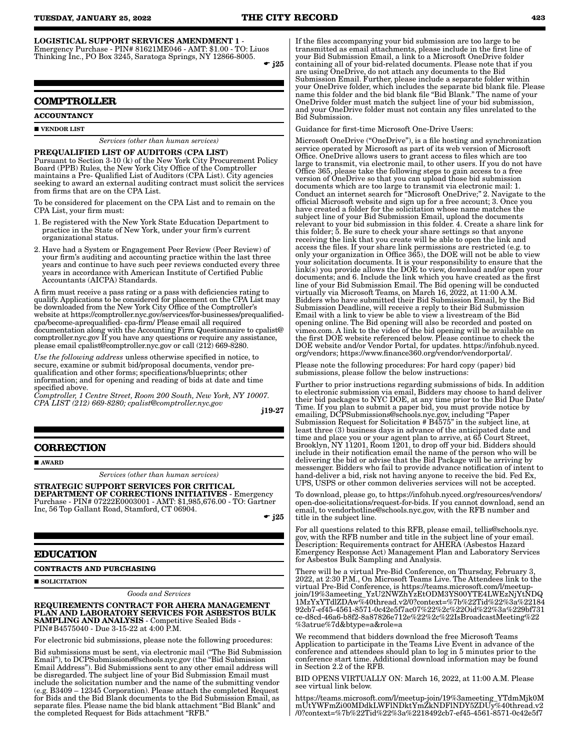LOGISTICAL SUPPORT SERVICES AMENDMENT 1 -

Emergency Purchase - PIN# 81621ME046 - AMT: \$1.00 - TO: Liuos Thinking Inc., PO Box 3245, Saratoga Springs, NY 12866-8005.  $\bullet$  j25

#### **COMPTROLLER**

#### **ACCOUNTANCY**

#### **VENDOR LIST**

*Services (other than human services)*

PREQUALIFIED LIST OF AUDITORS (CPA LIST) Pursuant to Section 3-10 (k) of the New York City Procurement Policy Board (PPB) Rules, the New York City Office of the Comptroller maintains a Pre- Qualified List of Auditors (CPA List). City agencies seeking to award an external auditing contract must solicit the services from firms that are on the CPA List.

To be considered for placement on the CPA List and to remain on the CPA List, your firm must:

- 1. Be registered with the New York State Education Department to practice in the State of New York, under your firm's current organizational status.
- 2. Have had a System or Engagement Peer Review (Peer Review) of your firm's auditing and accounting practice within the last three years and continue to have such peer reviews conducted every three years in accordance with American Institute of Certified Public Accountants (AICPA) Standards.

A firm must receive a pass rating or a pass with deficiencies rating to qualify. Applications to be considered for placement on the CPA List may be downloaded from the New York City Office of the Comptroller's website at https://comptroller.nyc.gov/services/for-businesses/prequalifiedcpa/become-aprequalified- cpa-firm/ Please email all required documentation along with the Accounting Firm Questionnaire to cpalist@ comptroller.nyc.gov If you have any questions or require any assistance, please email cpalist@comptroller.nyc.gov or call (212) 669-8280.

*Use the following address* unless otherwise specified in notice, to secure, examine or submit bid/proposal documents, vendor prequalification and other forms; specifications/blueprints; other information; and for opening and reading of bids at date and time specified above.

*Comptroller, 1 Centre Street, Room 200 South, New York, NY 10007. CPA LIST (212) 669-8280; cpalist@comptroller.nyc.gov*

j19-27

### **CORRECTION**

**AWARD** 

*Services (other than human services)*

STRATEGIC SUPPORT SERVICES FOR CRITICAL DEPARTMENT OF CORRECTIONS INITIATIVES - Emergency Purchase - PIN# 07222E0003001 - AMT: \$1,985,676.00 - TO: Gartner Inc, 56 Top Gallant Road, Stamford, CT 06904.

 $\bullet$  j25

#### **EDUCATION**

**CONTRACTS AND PURCHASING**

SOLICITATION

*Goods and Services*

#### REQUIREMENTS CONTRACT FOR AHERA MANAGEMENT PLAN AND LABORATORY SERVICES FOR ASBESTOS BULK SAMPLING AND ANALYSIS - Competitive Sealed Bids - PIN#B4575040 - Due 3-15-22 at 4:00 P.M.

For electronic bid submissions, please note the following procedures:

Bid submissions must be sent, via electronic mail ("The Bid Submission Email"), to DCPSubmissions@schools.nyc.gov (the "Bid Submission Email Address"). Bid Submissions sent to any other email address will be disregarded. The subject line of your Bid Submission Email must include the solicitation number and the name of the submitting vendor (e.g. B3409 – 12345 Corporation). Please attach the completed Request for Bids and the Bid Blank documents to the Bid Submission Email, as separate files. Please name the bid blank attachment "Bid Blank" and the completed Request for Bids attachment "RFB."

If the files accompanying your bid submission are too large to be transmitted as email attachments, please include in the first line of your Bid Submission Email, a link to a Microsoft OneDrive folder containing all of your bid-related documents. Please note that if you are using OneDrive, do not attach any documents to the Bid Submission Email. Further, please include a separate folder within your OneDrive folder, which includes the separate bid blank file. Please name this folder and the bid blank file "Bid Blank." The name of your OneDrive folder must match the subject line of your bid submission, and your OneDrive folder must not contain any files unrelated to the Bid Submission.

Guidance for first-time Microsoft One-Drive Users:

Microsoft OneDrive ("OneDrive"), is a file hosting and synchronization service operated by Microsoft as part of its web version of Microsoft Office. OneDrive allows users to grant access to files which are too large to transmit, via electronic mail, to other users. If you do not have Office 365, please take the following steps to gain access to a free version of OneDrive so that you can upload those bid submission documents which are too large to transmit via electronic mail: 1. Conduct an internet search for "Microsoft OneDrive;" 2. Navigate to the official Microsoft website and sign up for a free account; 3. Once you have created a folder for the solicitation whose name matches the subject line of your Bid Submission Email, upload the documents relevant to your bid submission in this folder. 4. Create a share link for this folder; 5. Be sure to check your share settings so that anyone receiving the link that you create will be able to open the link and access the files. If your share link permissions are restricted (e.g. to only your organization in Office 365), the DOE will not be able to view your solicitation documents. It is your responsibility to ensure that the link(s) you provide allows the DOE to view, download and/or open your documents; and 6. Include the link which you have created as the first line of your Bid Submission Email. The Bid opening will be conducted virtually via Microsoft Teams, on March 16, 2022, at 11:00 A.M. Bidders who have submitted their Bid Submission Email, by the Bid Submission Deadline, will receive a reply to their Bid Submission Email with a link to view be able to view a livestream of the Bid opening online. The Bid opening will also be recorded and posted on vimeo.com. A link to the video of the bid opening will be available on the first DOE website referenced below. Please continue to check the DOE website and/or Vendor Portal, for updates. https://infohub.nyced. org/vendors; https://www.finance360.org/vendor/vendorportal/.

Please note the following procedures: For hard copy (paper) bid submissions, please follow the below instructions:

Further to prior instructions regarding submissions of bids. In addition to electronic submission via email, Bidders may choose to hand deliver their bid packages to NYC DOE, at any time prior to the Bid Due Date/ Time. If you plan to submit a paper bid, you must provide notice by emailing, DCPSubmissions@schools.nyc.gov, including "Paper Submission Request for Solicitation # B4575" in the subject line, at least three (3) business days in advance of the anticipated date and time and place you or your agent plan to arrive, at 65 Court Street, Brooklyn, NY 11201, Room 1201, to drop off your bid. Bidders should include in their notification email the name of the person who will be delivering the bid or advise that the Bid Package will be arriving by messenger. Bidders who fail to provide advance notification of intent to hand-deliver a bid, risk not having anyone to receive the bid. Fed Ex, UPS, USPS or other common deliveries services will not be accepted.

To download, please go, to https://infohub.nyced.org/resources/vendors/ open-doe-solicitations/request-for-bids. If you cannot download, send an email, to vendorhotline@schools.nyc.gov, with the RFB number and title in the subject line.

For all questions related to this RFB, please email, tellis@schools.nyc. gov, with the RFB number and title in the subject line of your email. Description: Requirements contract for AHERA (Asbestos Hazard Emergency Response Act) Management Plan and Laboratory Services for Asbestos Bulk Sampling and Analysis.

There will be a virtual Pre-Bid Conference, on Thursday, February 3, 2022, at 2:30 P.M., On Microsoft Teams Live. The Attendees link to the virtual Pre-Bid Conference, is https://teams.microsoft.com/l/meetupjoin/19%3ameeting\_YzU2NWZhYzEtODM3YS00YTE4LWEzNjYtNDQ 1MzYxYTdlZDAw%40thread.v2/0?context=%7b%22Tid%22%3a%22184 92cb7-ef45-4561-8571-0c42e5f7ac07%22%2c%22Oid%22%3a%229bf731 ce-d8cd-46a6-b8f2-8a87826e712e%22%2c%22IsBroadcastMeeting%22 %3atrue%7d&btype=a&role=a

We recommend that bidders download the free Microsoft Teams Application to participate in the Teams Live Event in advance of the conference and attendees should plan to log in 5 minutes prior to the conference start time. Additional download information may be found in Section 2.2 of the RFB.

BID OPENS VIRTUALLY ON: March 16, 2022, at 11:00 A.M. Please see virtual link below.

https://teams.microsoft.com/l/meetup-join/19%3ameeting\_YTdmMjk0M mUtYWFmZi00MDdkLWFlNDktYmZkNDFlNDY5ZDUy%40thread.v2 /0?context=%7b%22Tid%22%3a%2218492cb7-ef45-4561-8571-0c42e5f7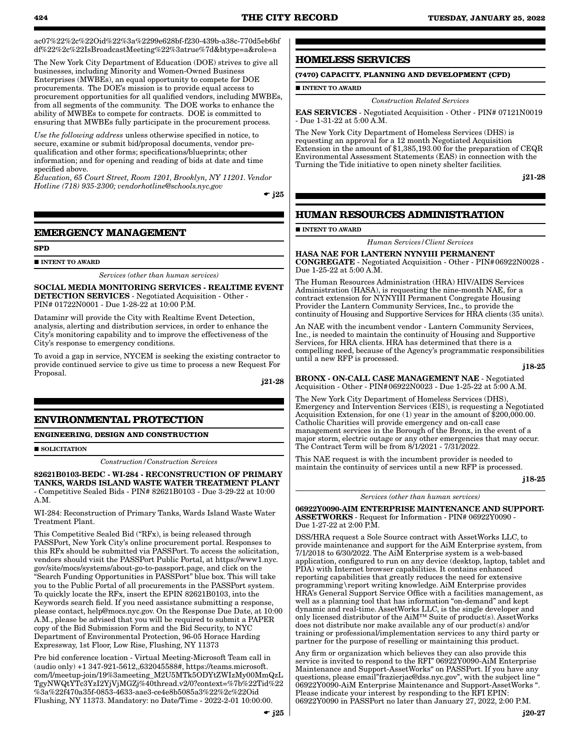ac07%22%2c%22Oid%22%3a%2299e628bf-f230-439b-a38c-770d5eb6bf df%22%2c%22IsBroadcastMeeting%22%3atrue%7d&btype=a&role=a

The New York City Department of Education (DOE) strives to give all businesses, including Minority and Women-Owned Business Enterprises (MWBEs), an equal opportunity to compete for DOE procurements. The DOE's mission is to provide equal access to procurement opportunities for all qualified vendors, including MWBEs, from all segments of the community. The DOE works to enhance the ability of MWBEs to compete for contracts. DOE is committed to ensuring that MWBEs fully participate in the procurement process.

*Use the following address* unless otherwise specified in notice, to secure, examine or submit bid/proposal documents, vendor prequalification and other forms; specifications/blueprints; other information; and for opening and reading of bids at date and time specified above.

*Education, 65 Court Street, Room 1201, Brooklyn, NY 11201. Vendor Hotline (718) 935-2300; vendorhotline@schools.nyc.gov*

 $\div$  i25

### **EMERGENCY MANAGEMENT**

#### **SPD**

 $\blacksquare$ INTENT TO AWARD

*Services (other than human services)*

SOCIAL MEDIA MONITORING SERVICES - REALTIME EVENT DETECTION SERVICES - Negotiated Acquisition - Other - PIN# 01722N0001 - Due 1-28-22 at 10:00 P.M.

Dataminr will provide the City with Realtime Event Detection, analysis, alerting and distribution services, in order to enhance the City's monitoring capability and to improve the effectiveness of the City's response to emergency conditions.

To avoid a gap in service, NYCEM is seeking the existing contractor to provide continued service to give us time to process a new Request For Proposal.

j21-28

### **ENVIRONMENTAL PROTECTION**

#### **ENGINEERING, DESIGN AND CONSTRUCTION**

**SOLICITATION** 

*Construction/Construction Services*

82621B0103-BEDC - WI-284 - RECONSTRUCTION OF PRIMARY TANKS, WARDS ISLAND WASTE WATER TREATMENT PLANT - Competitive Sealed Bids - PIN# 82621B0103 - Due 3-29-22 at 10:00 A.M.

WI-284: Reconstruction of Primary Tanks, Wards Island Waste Water Treatment Plant.

This Competitive Sealed Bid ("RFx), is being released through PASSPort, New York City's online procurement portal. Responses to this RFx should be submitted via PASSPort. To access the solicitation, vendors should visit the PASSPort Public Portal, at https://www1.nyc. gov/site/mocs/systems/about-go-to-passport.page, and click on the "Search Funding Opportunities in PASSPort" blue box. This will take you to the Public Portal of all procurements in the PASSPort system. To quickly locate the RFx, insert the EPIN 82621B0103, into the Keywords search field. If you need assistance submitting a response, please contact, help@mocs.nyc.gov. On the Response Due Date, at 10:00 A.M., please be advised that you will be required to submit a PAPER copy of the Bid Submission Form and the Bid Security, to NYC Department of Environmental Protection, 96-05 Horace Harding Expressway, 1st Floor, Low Rise, Flushing, NY 11373

Pre bid conference location - Virtual Meeting-Microsoft Team call in (audio only) +1 347-921-5612,,632045588#, https://teams.microsoft. com/l/meetup-join/19%3ameeting\_M2U5MTk5ODYtZWIzMy00MmQzL TgyNWQtYTc3YzI2YjVjMGZj%40thread.v2/0?context=%7b%22Tid%22 %3a%22f470a35f-0853-4633-aae3-ce4e8b5085a3%22%2c%22Oid Flushing, NY 11373. Mandatory: no Date/Time - 2022-2-01 10:00:00.

### **HOMELESS SERVICES**

### **(7470) CAPACITY, PLANNING AND DEVELOPMENT (CPD)**

**INTENT TO AWARD** 

### *Construction Related Services*

EAS SERVICES - Negotiated Acquisition - Other - PIN# 07121N0019 - Due 1-31-22 at 5:00 A.M.

The New York City Department of Homeless Services (DHS) is requesting an approval for a 12 month Negotiated Acquisition Extension in the amount of \$1,385,193.00 for the preparation of CEQR Environmental Assessment Statements (EAS) in connection with the Turning the Tide initiative to open ninety shelter facilities.

j21-28

### **HUMAN RESOURCES ADMINISTRATION**

**INTENT TO AWARD** 

*Human Services/Client Services*

#### HASA NAE FOR LANTERN NYNYIII PERMANENT

CONGREGATE - Negotiated Acquisition - Other - PIN#06922N0028 - Due 1-25-22 at 5:00 A.M.

The Human Resources Administration (HRA) HIV/AIDS Services Administration (HASA), is requesting the nine-month NAE, for a contract extension for NYNYIII Permanent Congregate Housing Provider the Lantern Community Services, Inc., to provide the continuity of Housing and Supportive Services for HRA clients (35 units).

An NAE with the incumbent vendor - Lantern Community Services, Inc., is needed to maintain the continuity of Housing and Supportive Services, for HRA clients. HRA has determined that there is a compelling need, because of the Agency's programmatic responsibilities until a new RFP is processed.

j18-25

BRONX - ON-CALL CASE MANAGEMENT NAE - Negotiated Acquisition - Other - PIN#06922N0023 - Due 1-25-22 at 5:00 A.M.

The New York City Department of Homeless Services (DHS), Emergency and Intervention Services (EIS), is requesting a Negotiated Acquisition Extension, for one (1) year in the amount of \$200,000.00. Catholic Charities will provide emergency and on-call case management services in the Borough of the Bronx, in the event of a major storm, electric outage or any other emergencies that may occur. The Contract Term will be from 8/1/2021 - 7/31/2022.

This NAE request is with the incumbent provider is needed to maintain the continuity of services until a new RFP is processed.

#### *Services (other than human services)*

06922Y0090-AIM ENTERPRISE MAINTENANCE AND SUPPORT-ASSETWORKS - Request for Information - PIN# 06922Y0090 - Due 1-27-22 at 2:00 P.M.

DSS/HRA request a Sole Source contract with AssetWorks LLC, to provide maintenance and support for the AiM Enterprise system, from 7/1/2018 to 6/30/2022. The AiM Enterprise system is a web-based application, configured to run on any device (desktop, laptop, tablet and PDA) with Internet browser capabilities. It contains enhanced reporting capabilities that greatly reduces the need for extensive programming\report writing knowledge. AiM Enterprise provides HRA's General Support Service Office with a facilities management, as well as a planning tool that has information "on-demand" and kept dynamic and real-time. AssetWorks LLC, is the single developer and only licensed distributor of the AiM™ Suite of product(s). AssetWorks does not distribute nor make available any of our product(s) and/or training or professional/implementation services to any third party or partner for the purpose of reselling or maintaining this product.

Any firm or organization which believes they can also provide this service is invited to respond to the RFI" 06922Y0090-AiM Enterprise Maintenance and Support-AssetWorks" on PASSPort. If you have any questions, please email"frazierjac@dss.nyc.gov", with the subject line " 06922Y0090-AiM Enterprise Maintenance and Support-AssetWorks ". Please indicate your interest by responding to the RFI EPIN: 06922Y0090 in PASSPort no later than January 27, 2022, 2:00 P.M.

j18-25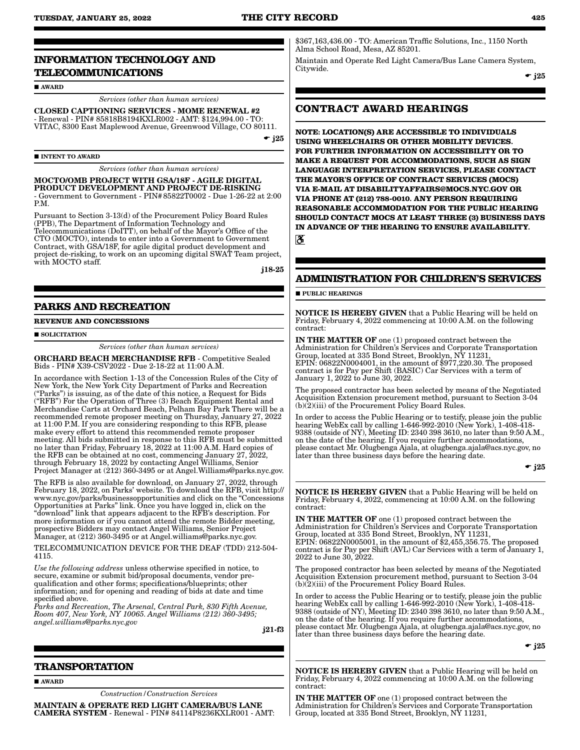### **INFORMATION TECHNOLOGY AND TELECOMMUNICATIONS**

**AWARD** 

*Services (other than human services)*

CLOSED CAPTIONING SERVICES - MOME RENEWAL #2 - Renewal - PIN# 85818B8194KXLR002 - AMT: \$124,994.00 - TO: VITAC, 8300 East Maplewood Avenue, Greenwood Village, CO 80111.

 $\bullet$  j25

 $\blacksquare$ INTENT TO AWARD

*Services (other than human services)*

#### MOCTO/OMB PROJECT WITH GSA/18F - AGILE DIGITAL PRODUCT DEVELOPMENT AND PROJECT DE-RISKING

- Government to Government - PIN#85822T0002 - Due 1-26-22 at 2:00 P.M.

Pursuant to Section 3-13(d) of the Procurement Policy Board Rules (PPB), The Department of Information Technology and Telecommunications (DoITT), on behalf of the Mayor's Office of the CTO (MOCTO), intends to enter into a Government to Government Contract, with GSA/18F, for agile digital product development and project de-risking, to work on an upcoming digital SWAT Team project, with MOCTO staff.

j18-25

#### **PARKS AND RECREATION**

#### **REVENUE AND CONCESSIONS**

**SOLICITATION** 

*Services (other than human services)*

ORCHARD BEACH MERCHANDISE RFB - Competitive Sealed Bids - PIN# X39-CSV2022 - Due 2-18-22 at 11:00 A.M.

In accordance with Section 1-13 of the Concession Rules of the City of New York, the New York City Department of Parks and Recreation ("Parks") is issuing, as of the date of this notice, a Request for Bids ("RFB") For the Operation of Three (3) Beach Equipment Rental and Merchandise Carts at Orchard Beach, Pelham Bay Park There will be a recommended remote proposer meeting on Thursday, January 27, 2022 at 11:00 P.M. If you are considering responding to this RFB, please make every effort to attend this recommended remote proposer meeting. All bids submitted in response to this RFB must be submitted no later than Friday, February 18, 2022 at 11:00 A.M. Hard copies of the RFB can be obtained at no cost, commencing January 27, 2022, through February 18, 2022 by contacting Angel Williams, Senior Project Manager at (212) 360-3495 or at Angel. Williams@parks.nyc.gov.

The RFB is also available for download, on January 27, 2022, through February 18, 2022, on Parks' website. To download the RFB, visit http:// www.nyc.gov/parks/businessopportunities and click on the "Concessions Opportunities at Parks" link. Once you have logged in, click on the "download" link that appears adjacent to the RFB's description. For more information or if you cannot attend the remote Bidder meeting, prospective Bidders may contact Angel Williams, Senior Project Manager, at (212) 360-3495 or at Angel.williams@parks.nyc.gov.

TELECOMMUNICATION DEVICE FOR THE DEAF (TDD) 212-504- 4115.

*Use the following address* unless otherwise specified in notice, to secure, examine or submit bid/proposal documents, vendor prequalification and other forms; specifications/blueprints; other information; and for opening and reading of bids at date and time specified above.

*Parks and Recreation, The Arsenal, Central Park, 830 Fifth Avenue, Room 407, New York, NY 10065. Angel Williams (212) 360-3495; angel.williams@parks.nyc.gov*

j21-f3

#### **TRANSPORTATION**

AWARD

*Construction/Construction Services*

MAINTAIN & OPERATE RED LIGHT CAMERA/BUS LANE CAMERA SYSTEM - Renewal - PIN# 84114P8236KXLR001 - AMT: \$367,163,436.00 - TO: American Traffic Solutions, Inc., 1150 North Alma School Road, Mesa, AZ 85201.

Maintain and Operate Red Light Camera/Bus Lane Camera System, Citywide.

 $\div$  j25

### **CONTRACT AWARD HEARINGS**

**NOTE: LOCATION(S) ARE ACCESSIBLE TO INDIVIDUALS USING WHEELCHAIRS OR OTHER MOBILITY DEVICES. FOR FURTHER INFORMATION ON ACCESSIBILITY OR TO MAKE A REQUEST FOR ACCOMMODATIONS, SUCH AS SIGN LANGUAGE INTERPRETATION SERVICES, PLEASE CONTACT THE MAYOR'S OFFICE OF CONTRACT SERVICES (MOCS) VIA E-MAIL AT DISABILITYAFFAIRS@MOCS.NYC.GOV OR VIA PHONE AT (212) 788-0010. ANY PERSON REQUIRING REASONABLE ACCOMMODATION FOR THE PUBLIC HEARING SHOULD CONTACT MOCS AT LEAST THREE (3) BUSINESS DAYS IN ADVANCE OF THE HEARING TO ENSURE AVAILABILITY.** 3

### **ADMINISTRATION FOR CHILDREN'S SERVICES**

**PUBLIC HEARINGS** 

NOTICE IS HEREBY GIVEN that a Public Hearing will be held on Friday, February 4, 2022 commencing at 10:00 A.M. on the following contract:

IN THE MATTER OF one (1) proposed contract between the Administration for Children's Services and Corporate Transportation Group, located at 335 Bond Street, Brooklyn, NY 11231, EPIN: 06822N0004001, in the amount of \$977,220.30. The proposed contract is for Pay per Shift (BASIC) Car Services with a term of January 1, 2022 to June 30, 2022.

The proposed contractor has been selected by means of the Negotiated Acquisition Extension procurement method, pursuant to Section 3-04 (b)(2)(iii) of the Procurement Policy Board Rules.

In order to access the Public Hearing or to testify, please join the public hearing WebEx call by calling 1-646-992-2010 (New York), 1-408-418-9388 (outside of NY), Meeting ID: 2340 398 3610, no later than 9:50 A.M., on the date of the hearing. If you require further accommodations, please contact Mr. Olugbenga Ajala, at olugbenga.ajala@acs.nyc.gov, no later than three business days before the hearing date.

NOTICE IS HEREBY GIVEN that a Public Hearing will be held on Friday, February 4, 2022, commencing at 10:00 A.M. on the following contract:

IN THE MATTER OF one (1) proposed contract between the Administration for Children's Services and Corporate Transportation Group, located at 335 Bond Street, Brooklyn, NY 11231, EPIN: 06822N0005001, in the amount of \$2,455,356.75. The proposed contract is for Pay per Shift (AVL) Car Services with a term of January 1, 2022 to June 30, 2022.

The proposed contractor has been selected by means of the Negotiated Acquisition Extension procurement method, pursuant to Section 3-04 (b)(2)(iii) of the Procurement Policy Board Rules.

In order to access the Public Hearing or to testify, please join the public hearing WebEx call by calling 1-646-992-2010 (New York), 1-408-418- 9388 (outside of NY), Meeting ID: 2340 398 3610, no later than 9:50 A.M., on the date of the hearing. If you require further accommodations, please contact Mr. Olugbenga Ajala, at olugbenga.ajala@acs.nyc.gov, no later than three business days before the hearing date.

 $\bullet$  j25

NOTICE IS HEREBY GIVEN that a Public Hearing will be held on Friday, February 4, 2022 commencing at 10:00 A.M. on the following contract:

IN THE MATTER OF one (1) proposed contract between the Administration for Children's Services and Corporate Transportation Group, located at 335 Bond Street, Brooklyn, NY 11231,

 $-$  j25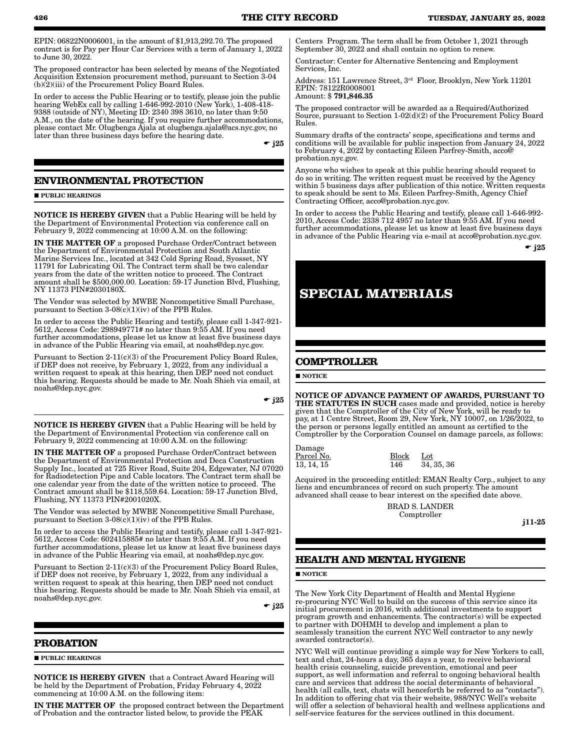EPIN: 06822N0006001, in the amount of \$1,913,292.70. The proposed contract is for Pay per Hour Car Services with a term of January 1, 2022 to June 30, 2022.

The proposed contractor has been selected by means of the Negotiated Acquisition Extension procurement method, pursuant to Section 3-04 (b)(2)(iii) of the Procurement Policy Board Rules.

In order to access the Public Hearing or to testify, please join the public hearing WebEx call by calling 1-646-992-2010 (New York), 1-408-418- 9388 (outside of NY), Meeting ID: 2340 398 3610, no later than 9:50 A.M., on the date of the hearing. If you require further accommodations, please contact Mr. Olugbenga Ajala at olugbenga.ajala@acs.nyc.gov, no later than three business days before the hearing date.

 $\div$  i25

### **ENVIRONMENTAL PROTECTION**

**PUBLIC HEARINGS** 

NOTICE IS HEREBY GIVEN that a Public Hearing will be held by the Department of Environmental Protection via conference call on February 9, 2022 commencing at 10:00 A.M. on the following:

IN THE MATTER OF a proposed Purchase Order/Contract between the Department of Environmental Protection and South Atlantic Marine Services Inc., located at 342 Cold Spring Road, Syosset, NY 11791 for Lubricating Oil. The Contract term shall be two calendar years from the date of the written notice to proceed. The Contract amount shall be \$500,000.00. Location: 59-17 Junction Blvd, Flushing, NY 11373 PIN#2030180X.

The Vendor was selected by MWBE Noncompetitive Small Purchase, pursuant to Section  $3-08(c)(1)(iv)$  of the PPB Rules.

In order to access the Public Hearing and testify, please call 1-347-921- 5612, Access Code: 298949771# no later than 9:55 AM. If you need further accommodations, please let us know at least five business days in advance of the Public Hearing via email, at noahs@dep.nyc.gov.

Pursuant to Section 2-11(c)(3) of the Procurement Policy Board Rules, if DEP does not receive, by February 1, 2022, from any individual a written request to speak at this hearing, then DEP need not conduct this hearing. Requests should be made to Mr. Noah Shieh via email, at noahs@dep.nyc.gov.

 $\bullet$  j25

NOTICE IS HEREBY GIVEN that a Public Hearing will be held by the Department of Environmental Protection via conference call on February 9, 2022 commencing at 10:00 A.M. on the following:

IN THE MATTER OF a proposed Purchase Order/Contract between the Department of Environmental Protection and Deca Construction Supply Inc., located at 725 River Road, Suite 204, Edgewater, NJ 07020 for Radiodetection Pipe and Cable locators. The Contract term shall be one calendar year from the date of the written notice to proceed. The Contract amount shall be \$118,559.64. Location: 59-17 Junction Blvd, Flushing, NY 11373 PIN#2001020X.

The Vendor was selected by MWBE Noncompetitive Small Purchase, pursuant to Section  $3-08(c)(1)(iv)$  of the PPB Rules.

In order to access the Public Hearing and testify, please call 1-347-921- 5612, Access Code: 602415885# no later than 9:55 A.M. If you need further accommodations, please let us know at least five business days in advance of the Public Hearing via email, at noahs@dep.nyc.gov.

Pursuant to Section 2-11(c)(3) of the Procurement Policy Board Rules, if DEP does not receive, by February 1, 2022, from any individual a written request to speak at this hearing, then DEP need not conduct this hearing. Requests should be made to Mr. Noah Shieh via email, at noahs@dep.nyc.gov.

 $\div$  j25

### **PROBATION**

**PUBLIC HEARINGS** 

NOTICE IS HEREBY GIVEN that a Contract Award Hearing will be held by the Department of Probation, Friday February 4, 2022 commencing at 10:00 A.M. on the following item:

IN THE MATTER OF the proposed contract between the Department of Probation and the contractor listed below, to provide the PEAK

Centers Program. The term shall be from October 1, 2021 through September 30, 2022 and shall contain no option to renew.

Contractor: Center for Alternative Sentencing and Employment Services, Inc.

Address: 151 Lawrence Street, 3rd Floor, Brooklyn, New York 11201 EPIN: 78122R0008001 Amount: \$ 791,846.35

The proposed contractor will be awarded as a Required/Authorized Source, pursuant to Section 1-02(d)(2) of the Procurement Policy Board Rules.

Summary drafts of the contracts' scope, specifications and terms and conditions will be available for public inspection from January 24, 2022 to February 4, 2022 by contacting Eileen Parfrey-Smith, acco@ probation.nyc.gov.

Anyone who wishes to speak at this public hearing should request to do so in writing. The written request must be received by the Agency within 5 business days after publication of this notice. Written requests to speak should be sent to Ms. Eileen Parfrey-Smith, Agency Chief Contracting Officer, acco@probation.nyc.gov.

In order to access the Public Hearing and testify, please call 1-646-992- 2010, Access Code: 2338 712 4957 no later than 9:55 AM. If you need further accommodations, please let us know at least five business days in advance of the Public Hearing via e-mail at acco@probation.nyc.gov.

 $\bullet$  i25

## **SPECIAL MATERIALS**

### **COMPTROLLER**

**NOTICE** 

 $\overline{D}$ 

NOTICE OF ADVANCE PAYMENT OF AWARDS, PURSUANT TO THE STATUTES IN SUCH cases made and provided, notice is hereby given that the Comptroller of the City of New York, will be ready to pay, at 1 Centre Street, Room 29, New York, NY 10007, on 1/26/2022, to the person or persons legally entitled an amount as certified to the Comptroller by the Corporation Counsel on damage parcels, as follows:

| Damage     |       |            |
|------------|-------|------------|
| Parcel No. | Block | Lot        |
| 13, 14, 15 | 146   | 34, 35, 36 |

Acquired in the proceeding entitled: EMAN Realty Corp., subject to any liens and encumbrances of record on such property. The amount advanced shall cease to bear interest on the specified date above.

> BRAD S. LANDER Comptroller

j11-25

### **HEALTH AND MENTAL HYGIENE**

**NOTICE** 

The New York City Department of Health and Mental Hygiene re-procuring NYC Well to build on the success of this service since its initial procurement in 2016, with additional investments to support program growth and enhancements. The contractor(s) will be expected to partner with DOHMH to develop and implement a plan to seamlessly transition the current NYC Well contractor to any newly awarded contractor(s).

NYC Well will continue providing a simple way for New Yorkers to call, text and chat, 24-hours a day, 365 days a year, to receive behavioral health crisis counseling, suicide prevention, emotional and peer support, as well information and referral to ongoing behavioral health care and services that address the social determinants of behavioral health (all calls, text, chats will henceforth be referred to as "contacts"). In addition to offering chat via their website, 988/NYC Well's website will offer a selection of behavioral health and wellness applications and self-service features for the services outlined in this document.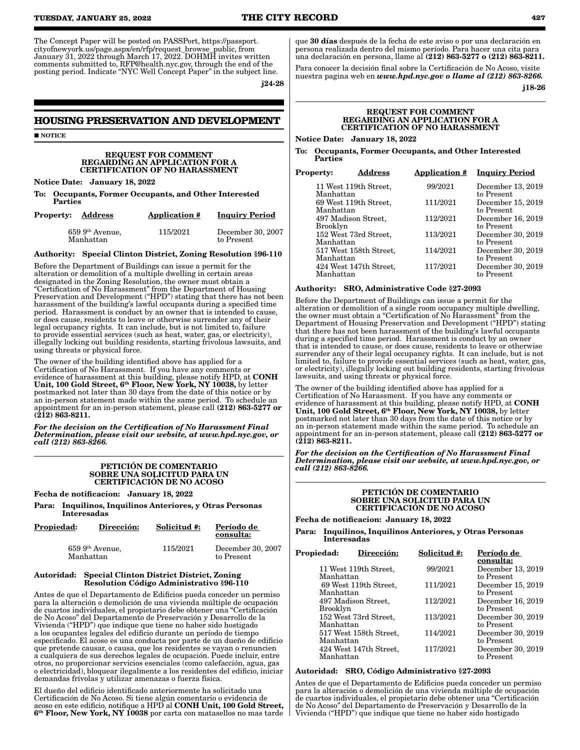The Concept Paper will be posted on PASSPort, https://passport. cityofnewyork.us/page.aspx/en/rfp/request\_browse\_public, from January 31, 2022 through March 17, 2022. DOHMH invites written comments submitted to, RFP@health.nyc.gov, through the end of the posting period. Indicate "NYC Well Concept Paper" in the subject line.

j24-28

to Present

### **HOUSING PRESERVATION AND DEVELOPMENT**

**NOTICE** 

#### REQUEST FOR COMMENT REGARDING AN APPLICATION FOR A CERTIFICATION OF NO HARASSMENT

Notice Date: January 18, 2022

Manhattan

Occupants, Former Occupants, and Other Interested **Parties** 

| <b>Property: Address</b> |                   | <b>Application #</b> | <b>Inquiry Period</b> |
|--------------------------|-------------------|----------------------|-----------------------|
|                          | $659~9th$ Avenue, | 115/2021             | December 30, 2007     |

### Authority: Special Clinton District, Zoning Resolution §96-110

Before the Department of Buildings can issue a permit for the alteration or demolition of a multiple dwelling in certain areas designated in the Zoning Resolution, the owner must obtain a "Certification of No Harassment" from the Department of Housing Preservation and Development ("HPD") stating that there has not been harassment of the building's lawful occupants during a specified time period. Harassment is conduct by an owner that is intended to cause, or does cause, residents to leave or otherwise surrender any of their legal occupancy rights. It can include, but is not limited to, failure to provide essential services (such as heat, water, gas, or electricity), illegally locking out building residents, starting frivolous lawsuits, and using threats or physical force.

The owner of the building identified above has applied for a Certification of No Harassment. If you have any comments or evidence of harassment at this building, please notify HPD, at CONH Unit, 100 Gold Street, 6th Floor, New York, NY 10038, by letter postmarked not later than 30 days from the date of this notice or by an in-person statement made within the same period. To schedule an appointment for an in-person statement, please call (212) 863-5277 or  $(212)$  863-8211.

*For the decision on the Certification of No Harassment Final Determination, please visit our website, at www.hpd.nyc.gov, or call (212) 863-8266.*

#### PETICIÓN DE COMENTARIO SOBRE UNA SOLICITUD PARA UN CERTIFICACIÓN DE NO ACOSO

Fecha de notificacion: January 18, 2022

Para: Inquilinos, Inquilinos Anteriores, y Otras Personas Interesadas

| <b>Propiedad:</b>               | Dirección: | Solicitud #: | Período de<br>consulta:         |
|---------------------------------|------------|--------------|---------------------------------|
| $659\;9th$ Avenue.<br>Manhattan |            | 115/2021     | December 30, 2007<br>to Present |

#### Autoridad: Special Clinton District District, Zoning Resolution Código Administrativo §96-110

Antes de que el Departamento de Edificios pueda conceder un permiso para la alteración o demolición de una vivienda múltiple de ocupación de cuartos individuales, el propietario debe obtener una "Certificación de No Acoso" del Departamento de Preservación y Desarrollo de la Vivienda ("HPD") que indique que tiene no haber sido hostigado a los ocupantes legales del edificio durante un período de tiempo especificado. El acoso es una conducta por parte de un dueño de edificio que pretende causar, o causa, que los residentes se vayan o renuncien a cualquiera de sus derechos legales de ocupación. Puede incluir, entre otros, no proporcionar servicios esenciales (como calefacción, agua, gas o electricidad), bloquear ilegalmente a los residentes del edificio, iniciar demandas frívolas y utilizar amenazas o fuerza física.

El dueño del edificio identificado anteriormente ha solicitado una Certificación de No Acoso. Si tiene algún comentario o evidencia de acoso en este edificio, notifique a HPD al CONH Unit, 100 Gold Street, 6th Floor, New York, NY 10038 por carta con matasellos no mas tarde

que 30 días después de la fecha de este aviso o por una declaración en persona realizada dentro del mismo período. Para hacer una cita para una declaración en persona, llame al (212) 863-5277 o (212) 863-8211.

Para conocer la decisión final sobre la Certificación de No Acoso, visite nuestra pagina web en *www.hpd.nyc.gov o llame al (212) 863-8266.*

j18-26

#### REQUEST FOR COMMENT REGARDING AN APPLICATION FOR A CERTIFICATION OF NO HARASSMENT

Notice Date: January 18, 2022

To: Occupants, Former Occupants, and Other Interested Parties

| 11 West 119th Street,<br>Manhattan     | 99/2021  | December 13, 2019<br>to Present |
|----------------------------------------|----------|---------------------------------|
| 69 West 119th Street,<br>Manhattan     | 111/2021 | December 15, 2019<br>to Present |
| 497 Madison Street,<br><b>Brooklyn</b> | 112/2021 | December 16, 2019<br>to Present |
| 152 West 73rd Street,<br>Manhattan     | 113/2021 | December 30, 2019<br>to Present |
| 517 West 158th Street,<br>Manhattan    | 114/2021 | December 30, 2019<br>to Present |
| 424 West 147th Street,<br>Manhattan    | 117/2021 | December 30, 2019<br>to Present |

Authority: SRO, Administrative Code §27-2093

Before the Department of Buildings can issue a permit for the alteration or demolition of a single room occupancy multiple dwelling, the owner must obtain a "Certification of No Harassment" from the Department of Housing Preservation and Development ("HPD") stating that there has not been harassment of the building's lawful occupants during a specified time period. Harassment is conduct by an owner that is intended to cause, or does cause, residents to leave or otherwise surrender any of their legal occupancy rights. It can include, but is not limited to, failure to provide essential services (such as heat, water, gas, or electricity), illegally locking out building residents, starting frivolous lawsuits, and using threats or physical force.

The owner of the building identified above has applied for a Certification of No Harassment. If you have any comments or evidence of harassment at this building, please notify HPD, at CONH<br>Unit, 100 Gold Street, 6<sup>th</sup> Floor, New York, NY 10038, by letter postmarked not later than 30 days from the date of this notice or by an in-person statement made within the same period. To schedule an appointment for an in-person statement, please call (212) 863-5277 or (212) 863-8211.

*For the decision on the Certification of No Harassment Final Determination, please visit our website, at www.hpd.nyc.gov, or call (212) 863-8266.*

#### PETICIÓN DE COMENTARIO SOBRE UNA SOLICITUD PARA UN CERTIFICACIÓN DE NO ACOSO

Fecha de notificacion: January 18, 2022

Para: Inquilinos, Inquilinos Anteriores, y Otras Personas Interesadas

| Propiedad: | Dirección:             | Solicitud #: | Período de        |
|------------|------------------------|--------------|-------------------|
|            |                        |              | consulta:         |
|            | 11 West 119th Street,  | 99/2021      | December 13, 2019 |
| Manhattan  |                        |              | to Present        |
|            | 69 West 119th Street,  | 111/2021     | December 15, 2019 |
| Manhattan  |                        |              | to Present        |
|            | 497 Madison Street,    | 112/2021     | December 16, 2019 |
| Brooklyn   |                        |              | to Present        |
|            | 152 West 73rd Street,  | 113/2021     | December 30, 2019 |
| Manhattan  |                        |              | to Present        |
|            | 517 West 158th Street, | 114/2021     | December 30, 2019 |
| Manhattan  |                        |              | to Present        |
|            | 424 West 147th Street, | 117/2021     | December 30, 2019 |
| Manhattan  |                        |              | to Present        |

#### Autoridad: SRO, Código Administrativo §27-2093

Antes de que el Departamento de Edificios pueda conceder un permiso para la alteración o demolición de una vivienda múltiple de ocupación de cuartos individuales, el propietario debe obtener una "Certificación de No Acoso" del Departamento de Preservación y Desarrollo de la Vivienda ("HPD") que indique que tiene no haber sido hostigado